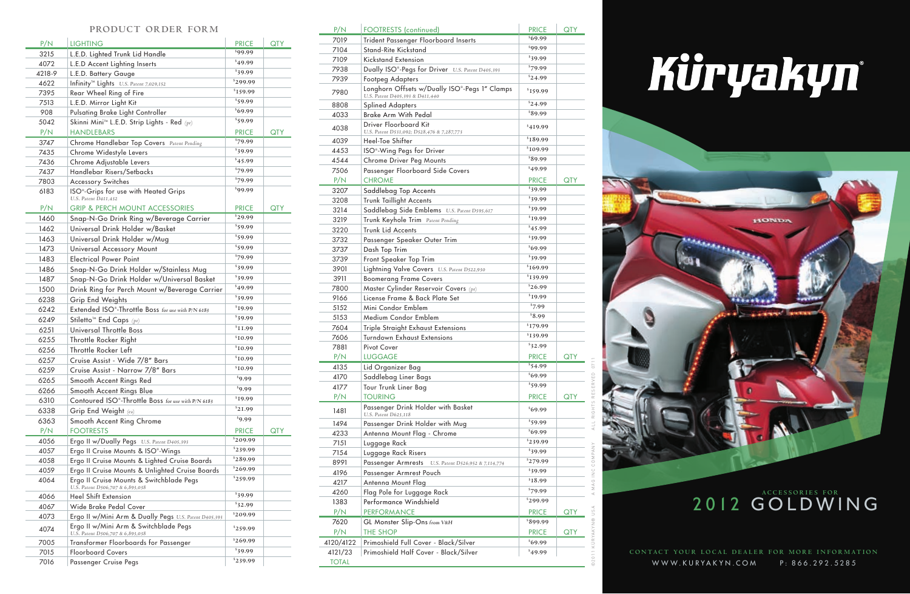

## Kûryakyn



## 2012 GOLDWING

WWW.KURYAKYN.COM P: 866.292.5285 **cONTACT YOUR LOCAL DEALER FOR MORE INFORMATION** 

| P/N    | <b>LIGHTING</b>                                                           | <b>PRICE</b>              | <b>QTY</b> |
|--------|---------------------------------------------------------------------------|---------------------------|------------|
| 3215   | L.E.D. Lighted Trunk Lid Handle                                           | \$99.99                   |            |
| 4072   | L.E.D Accent Lighting Inserts                                             | \$49.99                   |            |
| 4218-9 | L.E.D. Battery Gauge                                                      | $\sqrt[5]{39.99}$         |            |
| 4622   | Infinity <sup>™</sup> Lights U.S. Patent 7,029,152                        | \$299.99                  |            |
| 7395   | Rear Wheel Ring of Fire                                                   | \$159.99                  |            |
| 7513   | L.E.D. Mirror Light Kit                                                   | $\sqrt[5]{59.99}$         |            |
| 908    | Pulsating Brake Light Controller                                          | $\sqrt[5]{69.99}$         |            |
| 5042   | Skinni Mini <sup>™</sup> L.E.D. Strip Lights - Red (pr)                   | \$59.99                   |            |
| P/N    | <b>HANDLEBARS</b>                                                         | <b>PRICE</b>              | <b>QTY</b> |
| 3747   | Chrome Handlebar Top Covers Patent Pending                                | 879.99                    |            |
| 7435   | Chrome Widestyle Levers                                                   | \$39.99                   |            |
| 7436   | Chrome Adjustable Levers                                                  | 845.99                    |            |
| 7437   | Handlebar Risers/Setbacks                                                 | \$79.99                   |            |
| 7803   | <b>Accessory Switches</b>                                                 | \$79.99                   |            |
| 6183   | ISO <sup>®</sup> -Grips for use with Heated Grips<br>U.S. Patent D411.432 | \$99.99                   |            |
| P/N    | <b>GRIP &amp; PERCH MOUNT ACCESSORIES</b>                                 | <b>PRICE</b>              | <b>QTY</b> |
| 1460   | Snap-N-Go Drink Ring w/Beverage Carrier                                   | $\sqrt[5]{29.99}$         |            |
| 1462   | Universal Drink Holder w/Basket                                           | \$59.99                   |            |
| 1463   | Universal Drink Holder w/Mug                                              | \$59.99                   |            |
| 1473   | Universal Accessory Mount                                                 | \$59.99                   |            |
| 1483   | <b>Electrical Power Point</b>                                             | \$79.99                   |            |
| 1486   | Snap-N-Go Drink Holder w/Stainless Mug                                    | \$39.99                   |            |
| 1487   | Snap-N-Go Drink Holder w/Universal Basket                                 | \$39.99                   |            |
| 1500   | Drink Ring for Perch Mount w/Beverage Carrier                             | \$49.99                   |            |
| 6238   | <b>Grip End Weights</b>                                                   | \$39.99                   |            |
| 6242   | Extended ISO®-Throttle Boss for use with P/N 6183                         | \$19.99                   |            |
| 6249   | Stiletto <sup>™</sup> End Caps (pr)                                       | \$39.99                   |            |
| 6251   | Universal Throttle Boss                                                   | $s_{11.99}$               |            |
| 6255   | Throttle Rocker Right                                                     | $\sqrt[5]{10.99}$         |            |
| 6256   | Throttle Rocker Left                                                      | \$10.99                   |            |
| 6257   | Cruise Assist - Wide 7/8" Bars                                            | \$10.99                   |            |
| 6259   | Cruise Assist - Narrow 7/8" Bars                                          | $^{\text{\tiny{S}}}10.99$ |            |
| 6265   | Smooth Accent Rings Red                                                   | 89.99                     |            |
| 6266   | Smooth Accent Rings Blue                                                  | 89.99                     |            |
| 6310   | Contoured ISO®-Throttle Boss for use with P/N 6183                        | \$19.99                   |            |
| 6338   | Grip End Weight (ea)                                                      | \$21.99                   |            |
| 6363   | Smooth Accent Ring Chrome                                                 | 89.99                     |            |
| P/N    | <b>FOOTRESTS</b>                                                          | <b>PRICE</b>              | <b>QTY</b> |
| 4056   | Ergo II w/Dually Pegs U.S. Patent D405,393                                | \$209.99                  |            |
| 4057   | Ergo II Cruise Mounts & ISO®-Wings                                        | \$239.99                  |            |
| 4058   | Ergo II Cruise Mounts & Lighted Cruise Boards                             | \$289.99                  |            |
| 4059   | Ergo II Cruise Mounts & Unlighted Cruise Boards                           | \$269.99                  |            |
| 4064   | Ergo II Cruise Mounts & Switchblade Pegs                                  | \$259.99                  |            |
| 4066   | U.S. Patent D506,707 & 6,893,038<br><b>Heel Shift Extension</b>           | 839.99                    |            |
| 4067   | Wide Brake Pedal Cover                                                    | \$32.99                   |            |
| 4073   | Ergo II w/Mini Arm & Dually Pegs U.S. Patent D405,393                     | \$209.99                  |            |
|        | Ergo II w/Mini Arm & Switchblade Pegs                                     |                           |            |
| 4074   | U.S. Patent D506,707 & 6,893,038                                          | \$259.99<br>\$269.99      |            |
| 7005   | Transformer Floorboards for Passenger                                     | \$39.99                   |            |
| 7015   | <b>Floorboard Covers</b>                                                  | \$239.99                  |            |
| 7016   | Passenger Cruise Pegs                                                     |                           |            |

| P/N          | <b>FOOTRESTS</b> (continued)                                                     | <b>PRICE</b>               | <b>QTY</b> |
|--------------|----------------------------------------------------------------------------------|----------------------------|------------|
| 7019         | <b>Trident Passenger Floorboard Inserts</b>                                      | $\sqrt[5]{69.99}$          |            |
| 7104         | <b>Stand-Rite Kickstand</b>                                                      | \$99.99                    |            |
| 7109         | <b>Kickstand Extension</b>                                                       | 839.99                     |            |
| 7938         | Dually ISO <sup>®</sup> -Pegs for Driver U.S. Patent D405,393                    | \$79.99                    |            |
| 7939         | <b>Footpeg Adapters</b>                                                          | \$24.99                    |            |
| 7980         | Longhorn Offsets w/Dually ISO®-Pegs 1" Clamps<br>U.S. Patent D405,393 & D411,440 | \$159.99                   |            |
| 8808         | <b>Splined Adapters</b>                                                          | \$24.99                    |            |
| 4033         | <b>Brake Arm With Pedal</b>                                                      | 89.99                      |            |
| 4038         | Driver Floorboard Kit<br>U.S. Patent D531,092; D528,476 & 7,287,773              | \$419.99                   |            |
| 4039         | Heel-Toe Shifter                                                                 | \$189.99                   |            |
| 4453         | ISO <sup>®</sup> -Wing Pegs for Driver                                           | \$109.99                   |            |
| 4544         | Chrome Driver Peg Mounts                                                         | 89.99                      |            |
| 7506         | Passenger Floorboard Side Covers                                                 | \$49.99                    |            |
| P/N          | <b>CHROME</b>                                                                    | <b>PRICE</b>               | <b>QTY</b> |
| 3207         | Saddlebag Top Accents                                                            | $\sqrt[5]{39.99}$          |            |
| 3208         | <b>Trunk Taillight Accents</b>                                                   | \$39.99                    |            |
| 3214         | Saddlebag Side Emblems U.S. Patent D595,617                                      | \$39.99                    |            |
| 3219         | Trunk Keyhole Trim Patent Pending                                                | \$19.99                    |            |
| 3220         | <b>Trunk Lid Accents</b>                                                         | \$45.99                    |            |
| 3732         | Passenger Speaker Outer Trim                                                     | \$39.99                    |            |
| 3737         | Dash Top Trim                                                                    | \$69.99                    |            |
| 3739         |                                                                                  | \$39.99                    |            |
|              | Front Speaker Top Trim                                                           | <i>S</i> <sub>169.99</sub> |            |
| 3901         | Lightning Valve Covers U.S. Patent D522,930                                      | \$139.99                   |            |
| 3911         | <b>Boomerang Frame Covers</b>                                                    | \$26.99                    |            |
| 7800         | Master Cylinder Reservoir Covers $(pr)$                                          | \$19.99                    |            |
| 9166         | License Frame & Back Plate Set                                                   | \$7.99                     |            |
| 5152         | Mini Condor Emblem                                                               | 8.99                       |            |
| 5153         | Medium Condor Emblem                                                             |                            |            |
| 7604         | Triple Straight Exhaust Extensions                                               | <sup>\$</sup> 179.99       |            |
| 7606         | <b>Turndown Exhaust Extensions</b>                                               | \$139.99                   |            |
| 7881         | <b>Pivot Cover</b>                                                               | \$32.99                    |            |
| P/N          | <b>LUGGAGE</b>                                                                   | <b>PRICE</b>               | <b>QTY</b> |
| 4135         | Lid Organizer Bag                                                                | \$54.99                    |            |
| 4170         | Saddlebag Liner Bags                                                             | \$69.99                    |            |
| 4177         | Tour Trunk Liner Bag                                                             | \$59.99                    |            |
| P/N          | <b>TOURING</b>                                                                   | <b>PRICE</b>               | <b>QTY</b> |
| 1481         | Passenger Drink Holder with Basket<br>U.S. Patent D623.118                       | \$69.99                    |            |
| 1494         | Passenger Drink Holder with Mug                                                  | \$59.99                    |            |
| 4233         | Antenna Mount Flag - Chrome                                                      | \$69.99                    |            |
| 7151         | Luggage Rack                                                                     | \$239.99                   |            |
| 7154         | Luggage Rack Risers                                                              | \$39.99                    |            |
| 8991         | Passenger Armrests<br>U.S. Patent D526,952 & 7,114,774                           | \$279.99                   |            |
| 4196         | Passenger Armrest Pouch                                                          | \$39.99                    |            |
| 4217         | Antenna Mount Flag                                                               | <sup>\$</sup> 18.99        |            |
| 4260         | Flag Pole for Luggage Rack                                                       | \$79.99                    |            |
| 1383         | Performance Windshield                                                           | <sup>\$</sup> 299.99       |            |
| P/N          | <b>PERFORMANCE</b>                                                               | <b>PRICE</b>               | <b>QTY</b> |
| 7620         | GL Monster Slip-Ons from V&H                                                     | \$899.99                   |            |
| P/N          | <b>THE SHOP</b>                                                                  | <b>PRICE</b>               | <b>QTY</b> |
| 4120/4122    | Primoshield Full Cover - Black/Silver                                            | \$69.99                    |            |
| 4121/23      | Primoshield Half Cover - Black/Silver                                            | 849.99                     |            |
| <b>TOTAL</b> |                                                                                  |                            |            |
|              |                                                                                  |                            |            |

## **product order for m**